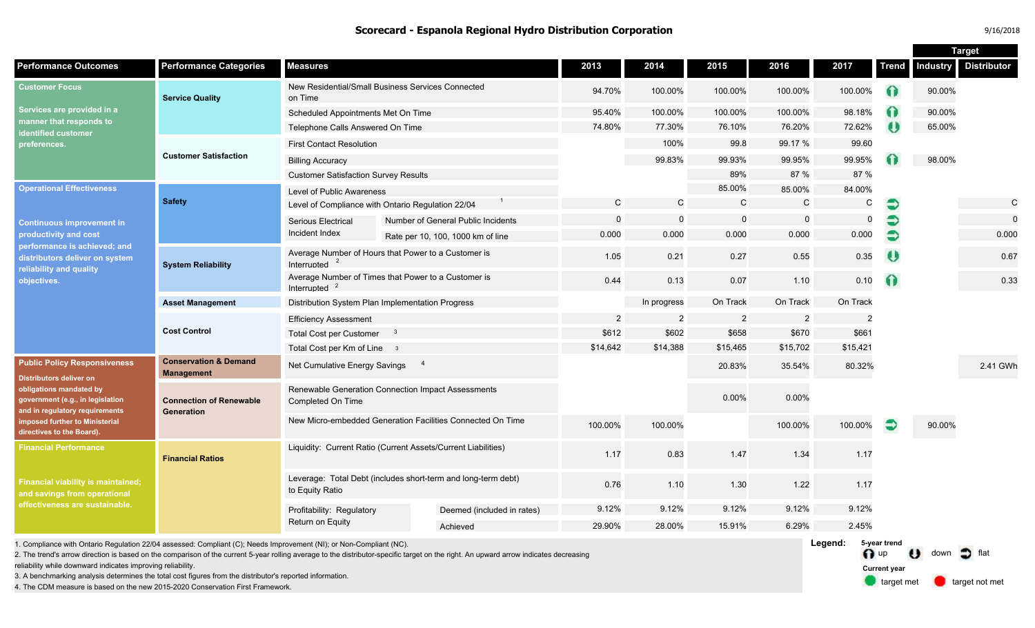|                                                                                                                                                                                                                                |                                                       |                                                                                  |  |                                    |                |                |              |                |                | <b>Target</b> |                 |                    |
|--------------------------------------------------------------------------------------------------------------------------------------------------------------------------------------------------------------------------------|-------------------------------------------------------|----------------------------------------------------------------------------------|--|------------------------------------|----------------|----------------|--------------|----------------|----------------|---------------|-----------------|--------------------|
| <b>Performance Outcomes</b>                                                                                                                                                                                                    | <b>Performance Categories</b>                         | <b>Measures</b>                                                                  |  |                                    | 2013           | 2014           | 2015         | 2016           | 2017           | <b>Trend</b>  | <b>Industry</b> | <b>Distributor</b> |
| <b>Customer Focus</b><br>Services are provided in a<br>manner that responds to<br>identified customer<br>preferences.                                                                                                          | <b>Service Quality</b>                                | New Residential/Small Business Services Connected<br>on Time                     |  | 94.70%                             | 100.00%        | 100.00%        | 100.00%      | 100.00%        | $\bullet$      | 90.00%        |                 |                    |
|                                                                                                                                                                                                                                |                                                       | Scheduled Appointments Met On Time                                               |  | 95.40%                             | 100.00%        | 100.00%        | 100.00%      | 98.18%         | Ω              | 90.00%        |                 |                    |
|                                                                                                                                                                                                                                |                                                       | Telephone Calls Answered On Time                                                 |  | 74.80%                             | 77.30%         | 76.10%         | 76.20%       | 72.62%         | $\bullet$      | 65.00%        |                 |                    |
|                                                                                                                                                                                                                                | <b>Customer Satisfaction</b>                          | <b>First Contact Resolution</b>                                                  |  |                                    | 100%           | 99.8           | 99.17 %      | 99.60          |                |               |                 |                    |
|                                                                                                                                                                                                                                |                                                       | <b>Billing Accuracy</b>                                                          |  |                                    | 99.83%         | 99.93%         | 99.95%       | 99.95%         |                | 98.00%        |                 |                    |
|                                                                                                                                                                                                                                |                                                       | <b>Customer Satisfaction Survey Results</b>                                      |  |                                    |                | 89%            | 87 %         | 87 %           |                |               |                 |                    |
| <b>Operational Effectiveness</b><br><b>Continuous improvement in</b><br>productivity and cost<br>performance is achieved; and<br>distributors deliver on system<br>reliability and quality<br>objectives.                      | <b>Safety</b>                                         | <b>Level of Public Awareness</b>                                                 |  |                                    |                | 85.00%         | 85.00%       | 84.00%         |                |               |                 |                    |
|                                                                                                                                                                                                                                |                                                       | Level of Compliance with Ontario Regulation 22/04                                |  | C                                  | C              | C              | $\mathsf{C}$ | C              | €              |               | $\mathsf{C}$    |                    |
|                                                                                                                                                                                                                                |                                                       | Serious Electrical<br>Incident Index                                             |  | Number of General Public Incidents | $\overline{0}$ | $\mathbf 0$    | $\Omega$     | $\Omega$       | $\Omega$       | €             |                 | $\mathbf 0$        |
|                                                                                                                                                                                                                                |                                                       |                                                                                  |  | Rate per 10, 100, 1000 km of line  | 0.000          | 0.000          | 0.000        | 0.000          | 0.000          | €             |                 | 0.000              |
|                                                                                                                                                                                                                                | <b>System Reliability</b>                             | Average Number of Hours that Power to a Customer is<br>Interrupted               |  |                                    | 1.05           | 0.21           | 0.27         | 0.55           | 0.35           | O             |                 | 0.67               |
|                                                                                                                                                                                                                                |                                                       | Average Number of Times that Power to a Customer is<br>Interrupted $2$           |  | 0.44                               | 0.13           | 0.07           | 1.10         | 0.10           | Ω              |               | 0.33            |                    |
|                                                                                                                                                                                                                                | <b>Asset Management</b>                               | Distribution System Plan Implementation Progress                                 |  |                                    |                | In progress    | On Track     | On Track       | On Track       |               |                 |                    |
|                                                                                                                                                                                                                                | <b>Cost Control</b>                                   | <b>Efficiency Assessment</b>                                                     |  |                                    | $\overline{2}$ | $\overline{c}$ | 2            | $\overline{2}$ | $\overline{2}$ |               |                 |                    |
|                                                                                                                                                                                                                                |                                                       | <b>Total Cost per Customer</b>                                                   |  |                                    | \$612          | \$602          | \$658        | \$670          | \$661          |               |                 |                    |
|                                                                                                                                                                                                                                |                                                       | Total Cost per Km of Line 3                                                      |  |                                    | \$14,642       | \$14,388       | \$15,465     | \$15,702       | \$15,421       |               |                 |                    |
| <b>Public Policy Responsiveness</b><br>Distributors deliver on<br>obligations mandated by<br>government (e.g., in legislation<br>and in regulatory requirements<br>imposed further to Ministerial<br>directives to the Board). | <b>Conservation &amp; Demand</b><br><b>Management</b> | Net Cumulative Energy Savings                                                    |  |                                    |                |                | 20.83%       | 35.54%         | 80.32%         |               |                 | 2.41 GWh           |
|                                                                                                                                                                                                                                | <b>Connection of Renewable</b><br><b>Generation</b>   | Renewable Generation Connection Impact Assessments<br>Completed On Time          |  |                                    |                |                | 0.00%        | 0.00%          |                |               |                 |                    |
|                                                                                                                                                                                                                                |                                                       | New Micro-embedded Generation Facilities Connected On Time                       |  |                                    | 100.00%        | 100.00%        |              | 100.00%        | 100.00%        |               | 90.00%          |                    |
| <b>Financial Performance</b>                                                                                                                                                                                                   | <b>Financial Ratios</b>                               | Liquidity: Current Ratio (Current Assets/Current Liabilities)                    |  |                                    | 1.17           | 0.83           | 1.47         | 1.34           | 1.17           |               |                 |                    |
| <b>Financial viability is maintained;</b><br>and savings from operational<br>effectiveness are sustainable.                                                                                                                    |                                                       | Leverage: Total Debt (includes short-term and long-term debt)<br>to Equity Ratio |  |                                    | 0.76           | 1.10           | 1.30         | 1.22           | 1.17           |               |                 |                    |
|                                                                                                                                                                                                                                |                                                       | Profitability: Regulatory<br>Return on Equity                                    |  | Deemed (included in rates)         | 9.12%          | 9.12%          | 9.12%        | 9.12%          | 9.12%          |               |                 |                    |
|                                                                                                                                                                                                                                |                                                       |                                                                                  |  | Achieved                           | 29.90%         | 28.00%         | 15.91%       | 6.29%          | 2.45%          |               |                 |                    |

1. Compliance with Ontario Regulation 22/04 assessed: Compliant (C); Needs Improvement (NI); or Non-Compliant (NC).

2. The trend's arrow direction is based on the comparison of the current 5-year rolling average to the distributor-specific target on the right. An upward arrow indicates decreasing

reliability while downward indicates improving reliability.

3. A benchmarking analysis determines the total cost figures from the distributor's reported information.

4. The CDM measure is based on the new 2015-2020 Conservation First Framework.

**Legend: 5-year trend**  <sup>0</sup>up **Current year**  target met the down of flat target not met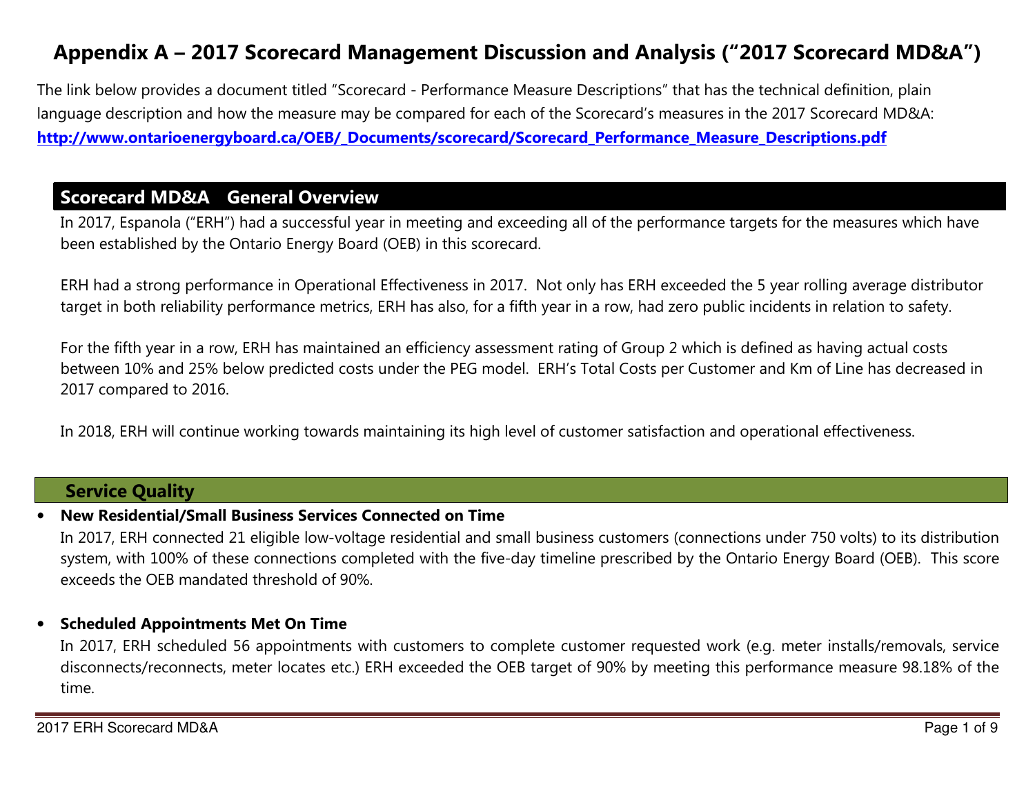# Appendix A – 2017 Scorecard Management Discussion and Analysis ("2017 Scorecard MD&A")

The link below provides a document titled "Scorecard - Performance Measure Descriptions" that has the technical definition, plain language description and how the measure may be compared for each of the Scorecard's measures in the 2017 Scorecard MD&A: [http://www.ontarioenergyboard.ca/OEB/\\_Documents/scorecard/Scorecard\\_Performance\\_Measure\\_Descriptions.pdf](http://www.ontarioenergyboard.ca/OEB/_Documents/scorecard/Scorecard_Performance_Measure_Descriptions.pdf)

## Scorecard MD&A General Overview

In 2017, Espanola ("ERH") had a successful year in meeting and exceeding all of the performance targets for the measures which have been established by the Ontario Energy Board (OEB) in this scorecard.

ERH had a strong performance in Operational Effectiveness in 2017. Not only has ERH exceeded the 5 year rolling average distributor target in both reliability performance metrics, ERH has also, for a fifth year in a row, had zero public incidents in relation to safety.

For the fifth year in a row, ERH has maintained an efficiency assessment rating of Group 2 which is defined as having actual costs between 10% and 25% below predicted costs under the PEG model. ERH's Total Costs per Customer and Km of Line has decreased in 2017 compared to 2016.

In 2018, ERH will continue working towards maintaining its high level of customer satisfaction and operational effectiveness.

### Service Quality

### •New Residential/Small Business Services Connected on Time

In 2017, ERH connected 21 eligible low-voltage residential and small business customers (connections under 750 volts) to its distribution system, with 100% of these connections completed with the five-day timeline prescribed by the Ontario Energy Board (OEB). This score exceeds the OEB mandated threshold of 90%.

#### •Scheduled Appointments Met On Time

In 2017, ERH scheduled 56 appointments with customers to complete customer requested work (e.g. meter installs/removals, service disconnects/reconnects, meter locates etc.) ERH exceeded the OEB target of 90% by meeting this performance measure 98.18% of the time.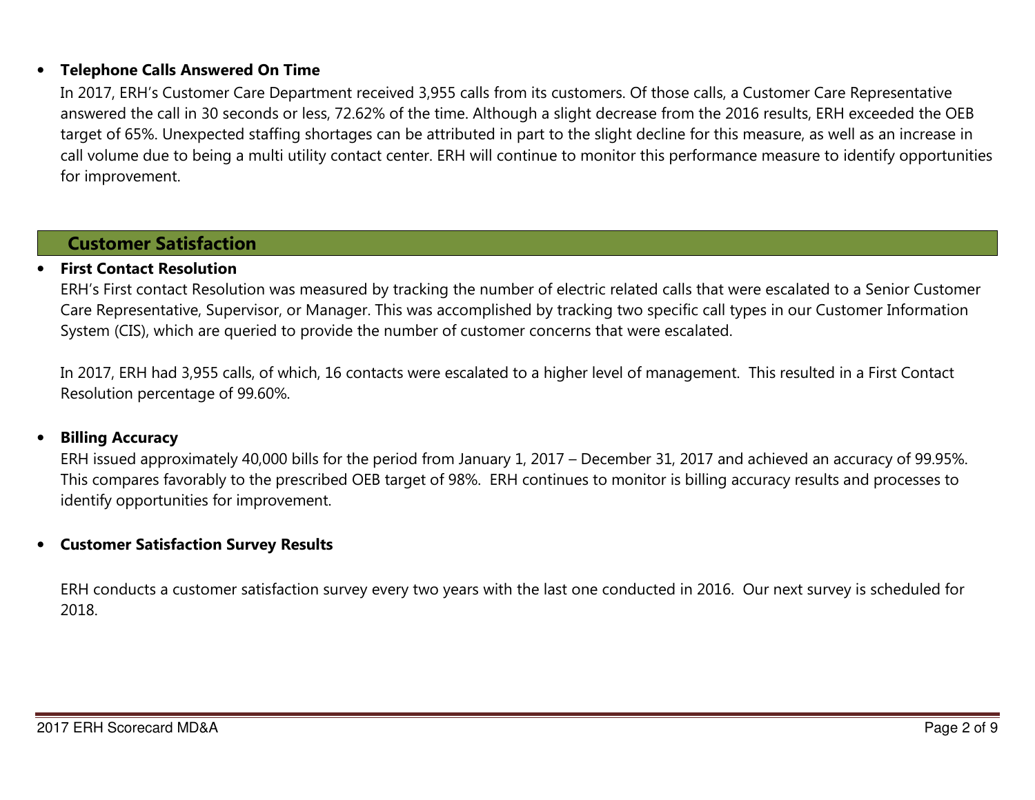### •Telephone Calls Answered On Time

In 2017, ERH's Customer Care Department received 3,955 calls from its customers. Of those calls, a Customer Care Representative answered the call in 30 seconds or less, 72.62% of the time. Although a slight decrease from the 2016 results, ERH exceeded the OEB target of 65%. Unexpected staffing shortages can be attributed in part to the slight decline for this measure, as well as an increase in call volume due to being a multi utility contact center. ERH will continue to monitor this performance measure to identify opportunities for improvement.

### Customer Satisfaction

### •First Contact Resolution

ERH's First contact Resolution was measured by tracking the number of electric related calls that were escalated to a Senior Customer Care Representative, Supervisor, or Manager. This was accomplished by tracking two specific call types in our Customer Information System (CIS), which are queried to provide the number of customer concerns that were escalated.

In 2017, ERH had 3,955 calls, of which, 16 contacts were escalated to a higher level of management. This resulted in a First Contact Resolution percentage of 99.60%.

### •Billing Accuracy

ERH issued approximately 40,000 bills for the period from January 1, 2017 – December 31, 2017 and achieved an accuracy of 99.95%. This compares favorably to the prescribed OEB target of 98%. ERH continues to monitor is billing accuracy results and processes to identify opportunities for improvement.

#### •Customer Satisfaction Survey Results

ERH conducts a customer satisfaction survey every two years with the last one conducted in 2016. Our next survey is scheduled for 2018.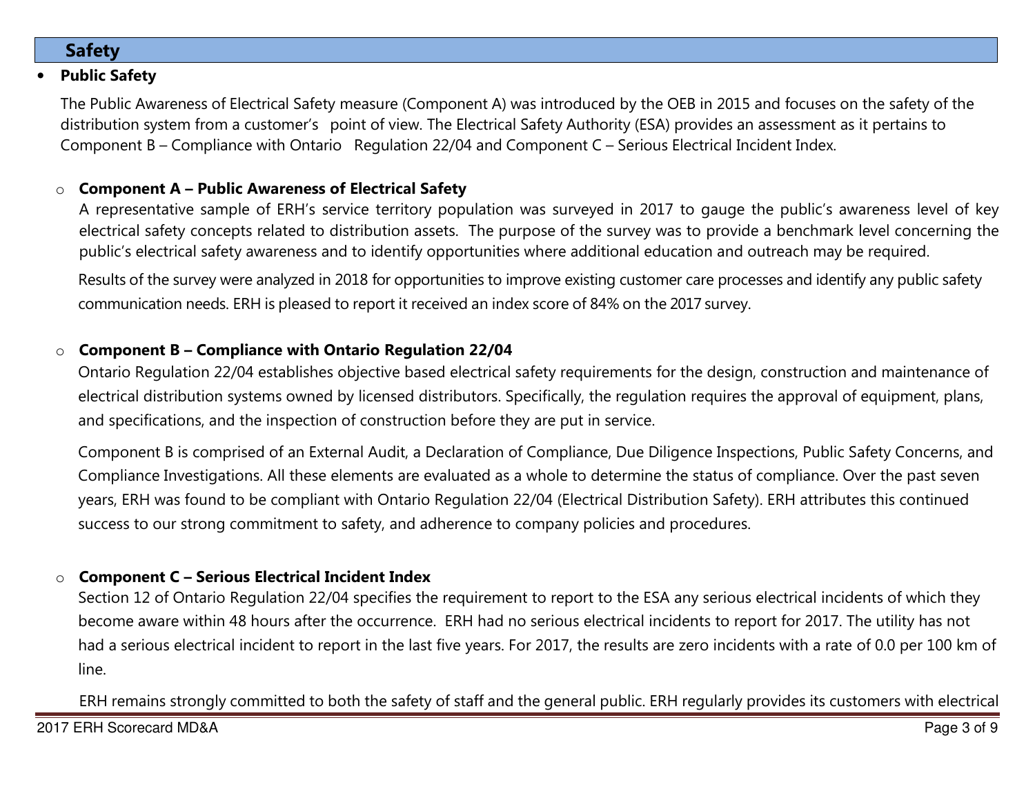# Safety

### •Public Safety

The Public Awareness of Electrical Safety measure (Component A) was introduced by the OEB in 2015 and focuses on the safety of the distribution system from a customer's point of view. The Electrical Safety Authority (ESA) provides an assessment as it pertains to Component B – Compliance with Ontario Regulation 22/04 and Component C – Serious Electrical Incident Index.

### oComponent A – Public Awareness of Electrical Safety

A representative sample of ERH's service territory population was surveyed in 2017 to gauge the public's awareness level of key electrical safety concepts related to distribution assets. The purpose of the survey was to provide a benchmark level concerning the public's electrical safety awareness and to identify opportunities where additional education and outreach may be required.

Results of the survey were analyzed in 2018 for opportunities to improve existing customer care processes and identify any public safety communication needs. ERH is pleased to report it received an index score of 84% on the 2017 survey.

### oComponent B – Compliance with Ontario Regulation 22/04

Ontario Regulation 22/04 establishes objective based electrical safety requirements for the design, construction and maintenance of electrical distribution systems owned by licensed distributors. Specifically, the regulation requires the approval of equipment, plans, and specifications, and the inspection of construction before they are put in service.

Component B is comprised of an External Audit, a Declaration of Compliance, Due Diligence Inspections, Public Safety Concerns, and Compliance Investigations. All these elements are evaluated as a whole to determine the status of compliance. Over the past seven years, ERH was found to be compliant with Ontario Regulation 22/04 (Electrical Distribution Safety). ERH attributes this continued success to our strong commitment to safety, and adherence to company policies and procedures.

### oComponent C – Serious Electrical Incident Index

Section 12 of Ontario Regulation 22/04 specifies the requirement to report to the ESA any serious electrical incidents of which they become aware within 48 hours after the occurrence. ERH had no serious electrical incidents to report for 2017. The utility has not had a serious electrical incident to report in the last five years. For 2017, the results are zero incidents with a rate of 0.0 per 100 km of line.

ERH remains strongly committed to both the safety of staff and the general public. ERH regularly provides its customers with electrical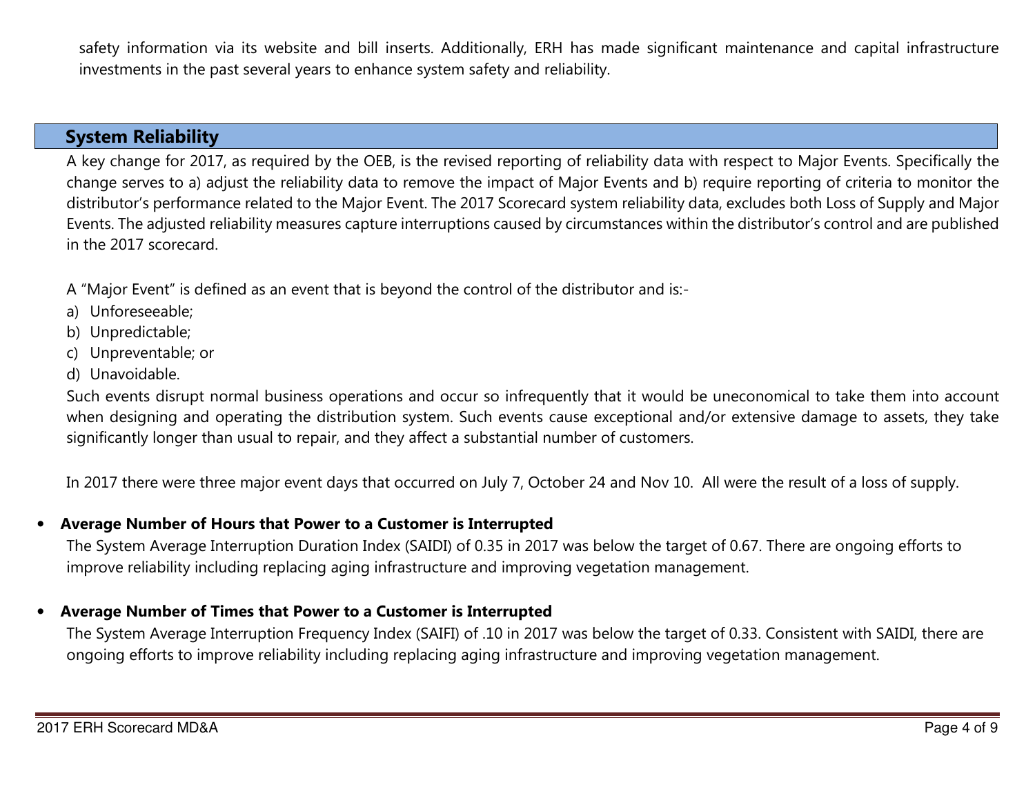safety information via its website and bill inserts. Additionally, ERH has made significant maintenance and capital infrastructure investments in the past several years to enhance system safety and reliability.

### System Reliability

A key change for 2017, as required by the OEB, is the revised reporting of reliability data with respect to Major Events. Specifically the change serves to a) adjust the reliability data to remove the impact of Major Events and b) require reporting of criteria to monitor the distributor's performance related to the Major Event. The 2017 Scorecard system reliability data, excludes both Loss of Supply and Major Events. The adjusted reliability measures capture interruptions caused by circumstances within the distributor's control and are published in the 2017 scorecard.

A "Major Event" is defined as an event that is beyond the control of the distributor and is:-

- a) Unforeseeable;
- b) Unpredictable;
- c) Unpreventable; or
- d) Unavoidable.

Such events disrupt normal business operations and occur so infrequently that it would be uneconomical to take them into account when designing and operating the distribution system. Such events cause exceptional and/or extensive damage to assets, they take significantly longer than usual to repair, and they affect a substantial number of customers.

In 2017 there were three major event days that occurred on July 7, October 24 and Nov 10. All were the result of a loss of supply.

### •Average Number of Hours that Power to a Customer is Interrupted

The System Average Interruption Duration Index (SAIDI) of 0.35 in 2017 was below the target of 0.67. There are ongoing efforts to improve reliability including replacing aging infrastructure and improving vegetation management.

### •Average Number of Times that Power to a Customer is Interrupted

The System Average Interruption Frequency Index (SAIFI) of .10 in 2017 was below the target of 0.33. Consistent with SAIDI, there are ongoing efforts to improve reliability including replacing aging infrastructure and improving vegetation management.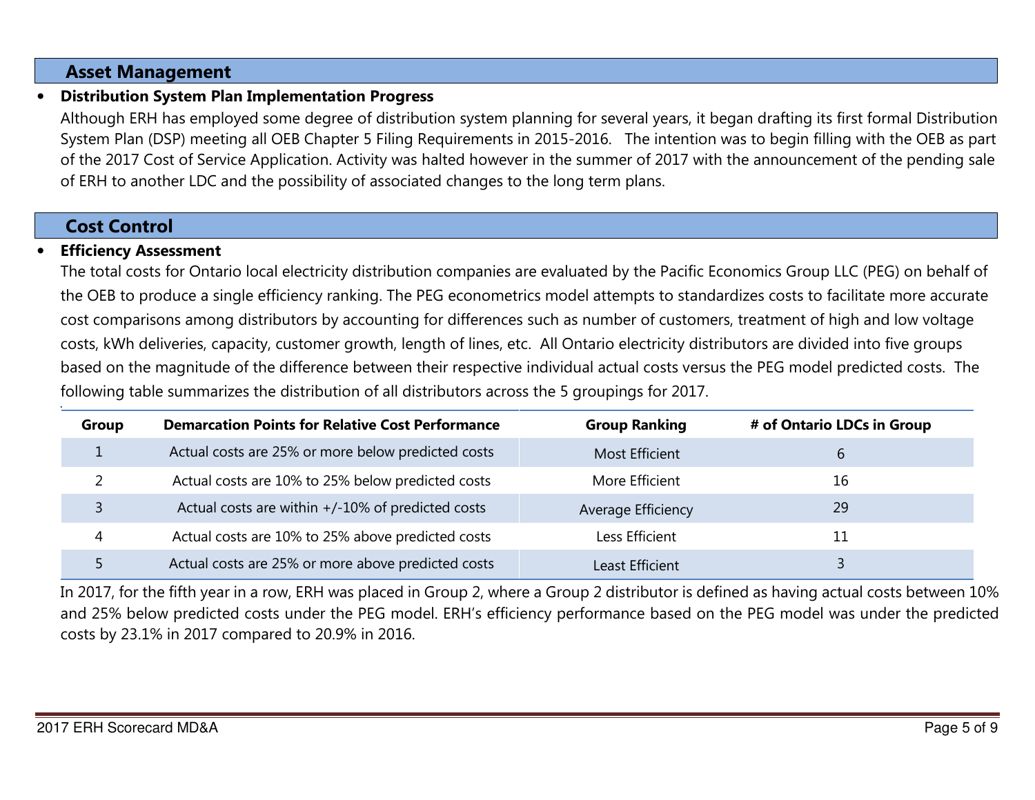### Asset Management

## Distribution System Plan Implementation Progress

Although ERH has employed some degree of distribution system planning for several years, it began drafting its first formal Distribution System Plan (DSP) meeting all OEB Chapter 5 Filing Requirements in 2015-2016. The intention was to begin filling with the OEB as part of the 2017 Cost of Service Application. Activity was halted however in the summer of 2017 with the announcement of the pending sale of ERH to another LDC and the possibility of associated changes to the long term plans.

### Cost Control

•

### •Efficiency Assessment

The total costs for Ontario local electricity distribution companies are evaluated by the Pacific Economics Group LLC (PEG) on behalf of the OEB to produce a single efficiency ranking. The PEG econometrics model attempts to standardizes costs to facilitate more accurate cost comparisons among distributors by accounting for differences such as number of customers, treatment of high and low voltage costs, kWh deliveries, capacity, customer growth, length of lines, etc. All Ontario electricity distributors are divided into five groups based on the magnitude of the difference between their respective individual actual costs versus the PEG model predicted costs. The following table summarizes the distribution of all distributors across the 5 groupings for 2017.

| Group | <b>Demarcation Points for Relative Cost Performance</b> | <b>Group Ranking</b>   | # of Ontario LDCs in Group |
|-------|---------------------------------------------------------|------------------------|----------------------------|
|       | Actual costs are 25% or more below predicted costs      | <b>Most Efficient</b>  | b                          |
|       | Actual costs are 10% to 25% below predicted costs       | More Efficient         | 16                         |
|       | Actual costs are within +/-10% of predicted costs       | Average Efficiency     | 29                         |
| 4     | Actual costs are 10% to 25% above predicted costs       | Less Efficient         | 11                         |
|       | Actual costs are 25% or more above predicted costs      | <b>Least Efficient</b> |                            |

In 2017, for the fifth year in a row, ERH was placed in Group 2, where a Group 2 distributor is defined as having actual costs between 10% and 25% below predicted costs under the PEG model. ERH's efficiency performance based on the PEG model was under the predicted costs by 23.1% in 2017 compared to 20.9% in 2016.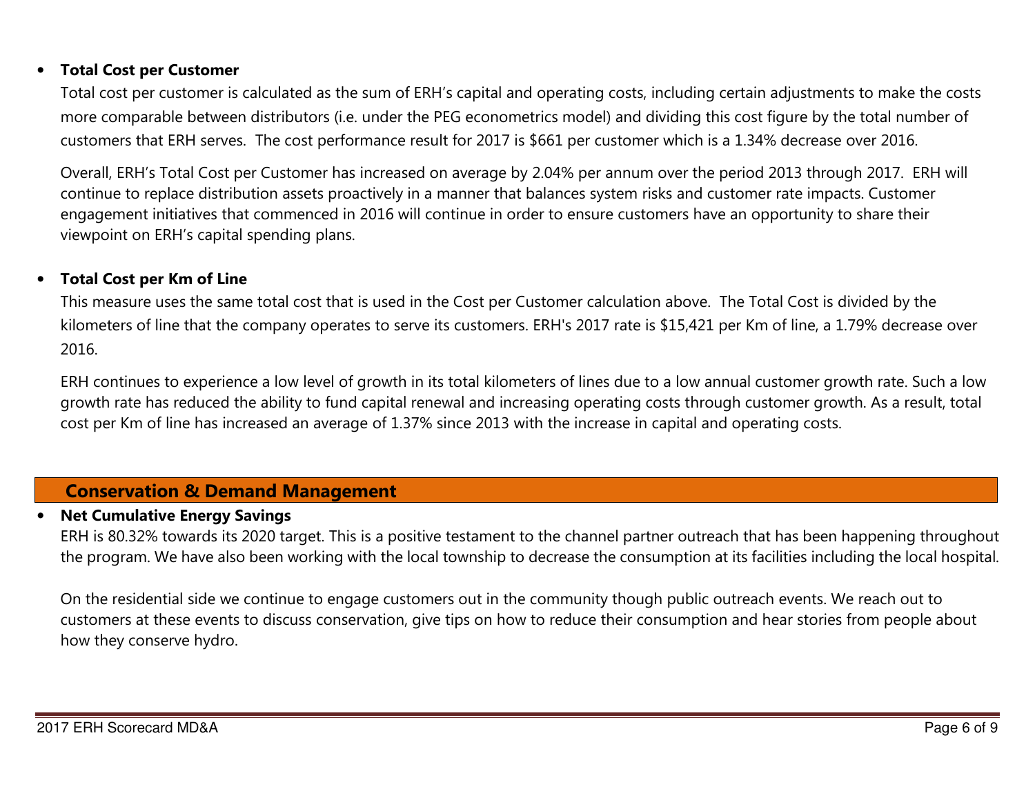#### $\bullet$ Total Cost per Customer

Total cost per customer is calculated as the sum of ERH's capital and operating costs, including certain adjustments to make the costs more comparable between distributors (i.e. under the PEG econometrics model) and dividing this cost figure by the total number of customers that ERH serves. The cost performance result for 2017 is \$661 per customer which is a 1.34% decrease over 2016.

Overall, ERH's Total Cost per Customer has increased on average by 2.04% per annum over the period 2013 through 2017. ERH will continue to replace distribution assets proactively in a manner that balances system risks and customer rate impacts. Customer engagement initiatives that commenced in 2016 will continue in order to ensure customers have an opportunity to share their viewpoint on ERH's capital spending plans.

### •Total Cost per Km of Line

This measure uses the same total cost that is used in the Cost per Customer calculation above. The Total Cost is divided by the kilometers of line that the company operates to serve its customers. ERH's 2017 rate is \$15,421 per Km of line, a 1.79% decrease over 2016.

ERH continues to experience a low level of growth in its total kilometers of lines due to a low annual customer growth rate. Such a low growth rate has reduced the ability to fund capital renewal and increasing operating costs through customer growth. As a result, total cost per Km of line has increased an average of 1.37% since 2013 with the increase in capital and operating costs.

### Conservation & Demand Management

#### •Net Cumulative Energy Savings

ERH is 80.32% towards its 2020 target. This is a positive testament to the channel partner outreach that has been happening throughout the program. We have also been working with the local township to decrease the consumption at its facilities including the local hospital.

On the residential side we continue to engage customers out in the community though public outreach events. We reach out to customers at these events to discuss conservation, give tips on how to reduce their consumption and hear stories from people about how they conserve hydro.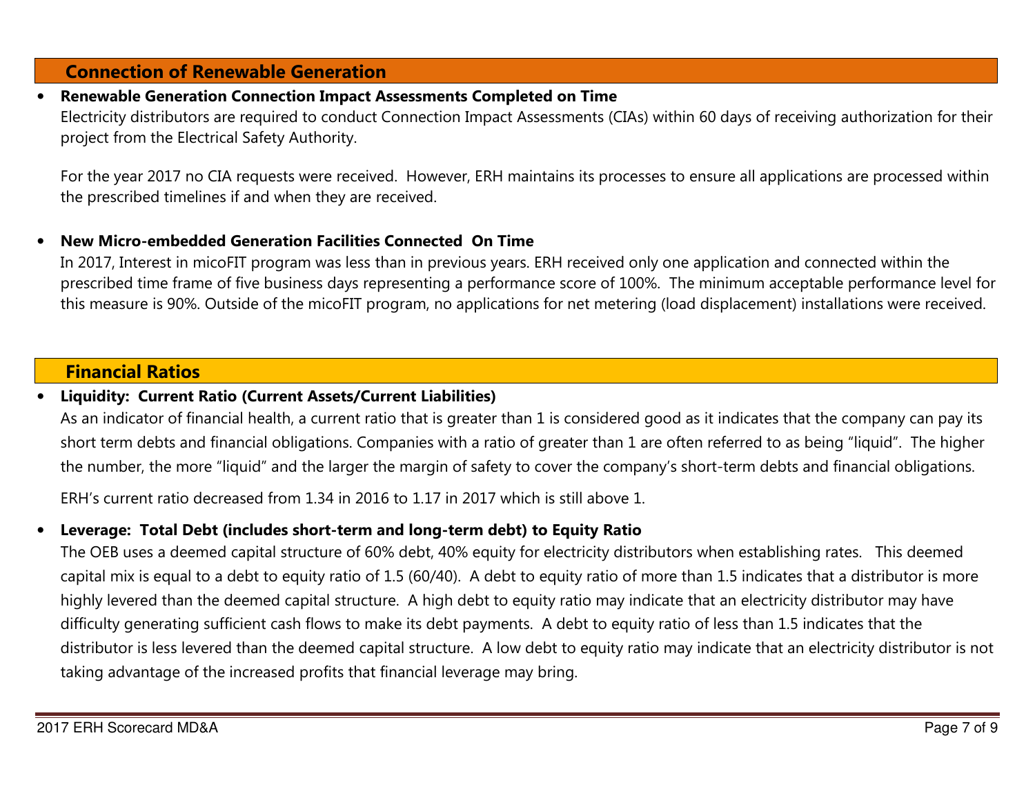### Connection of Renewable Generation

### •Renewable Generation Connection Impact Assessments Completed on Time

Electricity distributors are required to conduct Connection Impact Assessments (CIAs) within 60 days of receiving authorization for their project from the Electrical Safety Authority.

For the year 2017 no CIA requests were received. However, ERH maintains its processes to ensure all applications are processed within the prescribed timelines if and when they are received.

### •New Micro-embedded Generation Facilities Connected On Time

In 2017, Interest in micoFIT program was less than in previous years. ERH received only one application and connected within the prescribed time frame of five business days representing a performance score of 100%. The minimum acceptable performance level for this measure is 90%. Outside of the micoFIT program, no applications for net metering (load displacement) installations were received.

### Financial Ratios

#### •Liquidity: Current Ratio (Current Assets/Current Liabilities)

As an indicator of financial health, a current ratio that is greater than 1 is considered good as it indicates that the company can pay its short term debts and financial obligations. Companies with a ratio of greater than 1 are often referred to as being "liquid". The higher the number, the more "liquid" and the larger the margin of safety to cover the company's short-term debts and financial obligations.

ERH's current ratio decreased from 1.34 in 2016 to 1.17 in 2017 which is still above 1.

### •Leverage: Total Debt (includes short-term and long-term debt) to Equity Ratio

The OEB uses a deemed capital structure of 60% debt, 40% equity for electricity distributors when establishing rates. This deemed capital mix is equal to a debt to equity ratio of 1.5 (60/40). A debt to equity ratio of more than 1.5 indicates that a distributor is more highly levered than the deemed capital structure. A high debt to equity ratio may indicate that an electricity distributor may have difficulty generating sufficient cash flows to make its debt payments. A debt to equity ratio of less than 1.5 indicates that the distributor is less levered than the deemed capital structure. A low debt to equity ratio may indicate that an electricity distributor is not taking advantage of the increased profits that financial leverage may bring.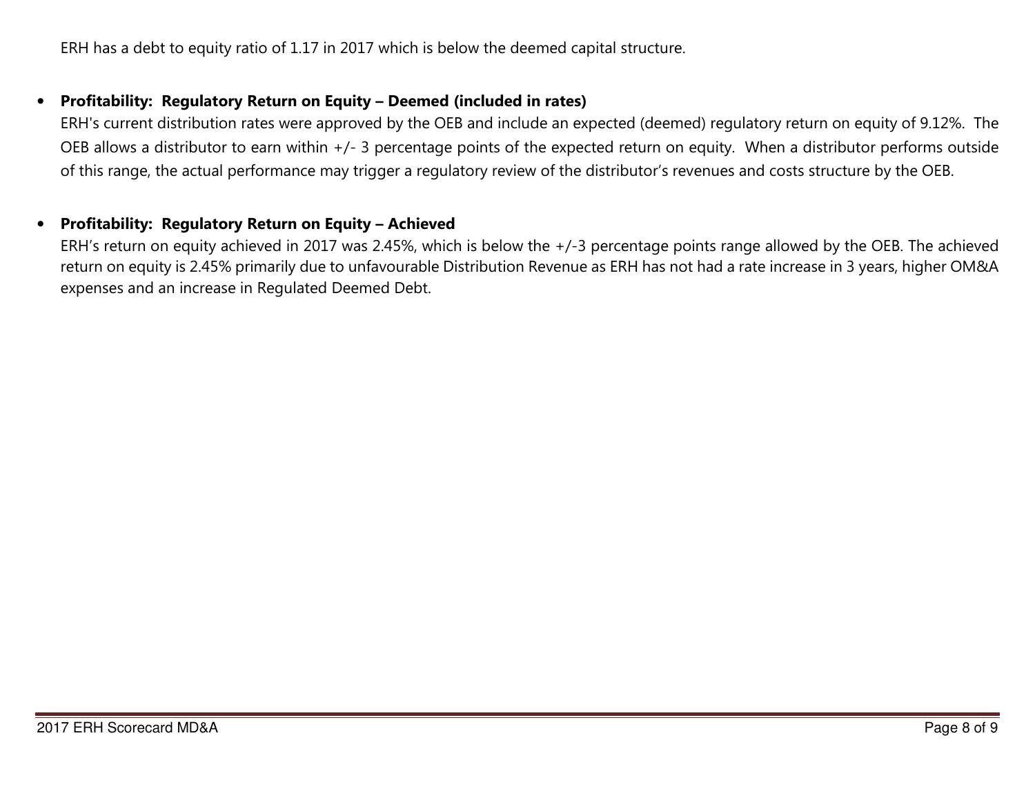ERH has a debt to equity ratio of 1.17 in 2017 which is below the deemed capital structure.

### •Profitability: Regulatory Return on Equity – Deemed (included in rates)

ERH's current distribution rates were approved by the OEB and include an expected (deemed) regulatory return on equity of 9.12%. The OEB allows a distributor to earn within +/- 3 percentage points of the expected return on equity. When a distributor performs outside of this range, the actual performance may trigger a regulatory review of the distributor's revenues and costs structure by the OEB.

#### •Profitability: Regulatory Return on Equity – Achieved

ERH's return on equity achieved in 2017 was 2.45%, which is below the +/-3 percentage points range allowed by the OEB. The achieved return on equity is 2.45% primarily due to unfavourable Distribution Revenue as ERH has not had a rate increase in 3 years, higher OM&A expenses and an increase in Regulated Deemed Debt.